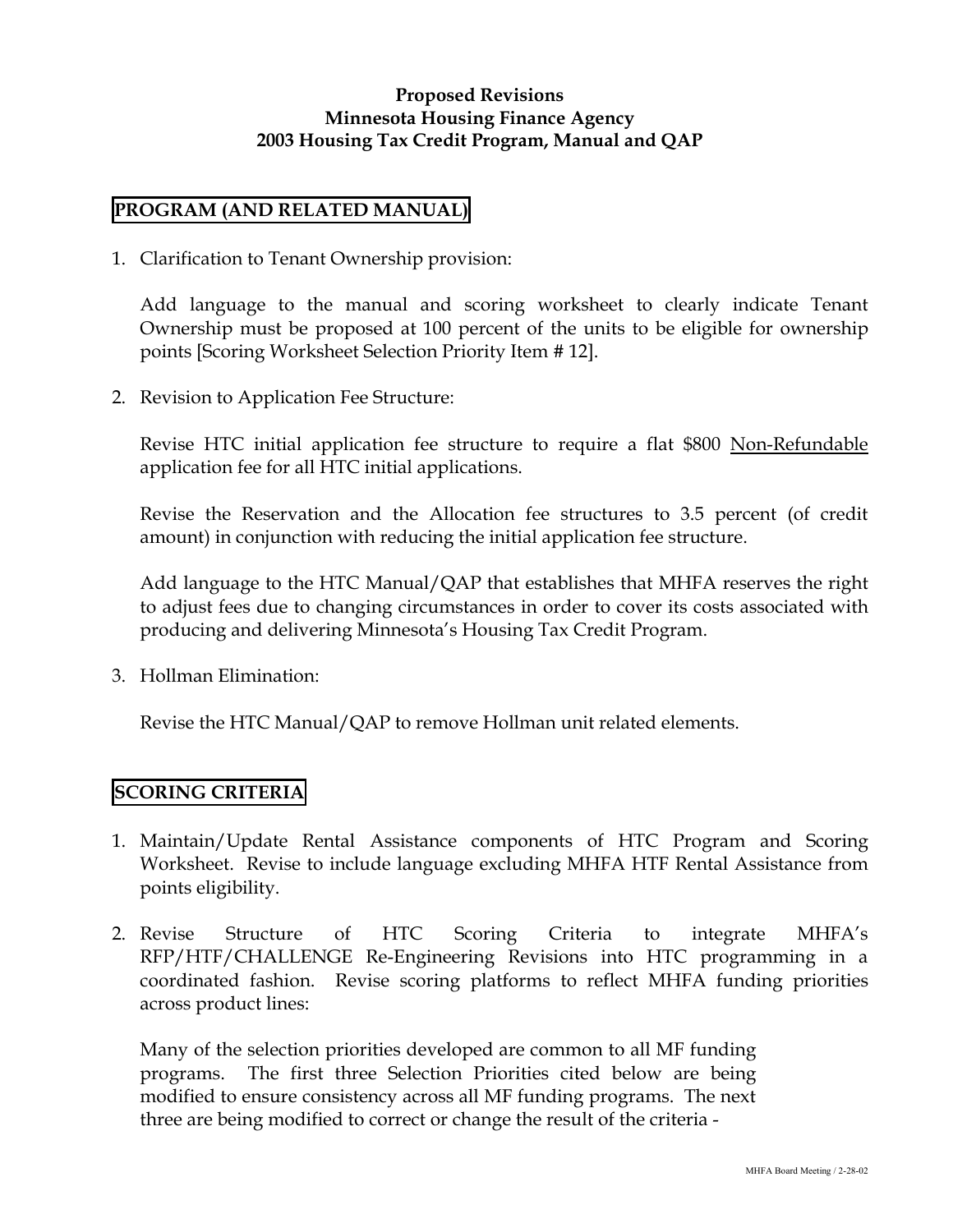#### **Proposed Revisions Minnesota Housing Finance Agency 2003 Housing Tax Credit Program, Manual and QAP**

### **PROGRAM (AND RELATED MANUAL)**

1. Clarification to Tenant Ownership provision:

Add language to the manual and scoring worksheet to clearly indicate Tenant Ownership must be proposed at 100 percent of the units to be eligible for ownership points [Scoring Worksheet Selection Priority Item # 12].

2. Revision to Application Fee Structure:

Revise HTC initial application fee structure to require a flat \$800 Non-Refundable application fee for all HTC initial applications.

Revise the Reservation and the Allocation fee structures to 3.5 percent (of credit amount) in conjunction with reducing the initial application fee structure.

Add language to the HTC Manual/QAP that establishes that MHFA reserves the right to adjust fees due to changing circumstances in order to cover its costs associated with producing and delivering Minnesota's Housing Tax Credit Program.

3. Hollman Elimination:

Revise the HTC Manual/QAP to remove Hollman unit related elements.

# **SCORING CRITERIA**

- 1. Maintain/Update Rental Assistance components of HTC Program and Scoring Worksheet. Revise to include language excluding MHFA HTF Rental Assistance from points eligibility.
- 2. Revise Structure of HTC Scoring Criteria to integrate MHFA's RFP/HTF/CHALLENGE Re-Engineering Revisions into HTC programming in a coordinated fashion. Revise scoring platforms to reflect MHFA funding priorities across product lines:

Many of the selection priorities developed are common to all MF funding programs. The first three Selection Priorities cited below are being modified to ensure consistency across all MF funding programs. The next three are being modified to correct or change the result of the criteria -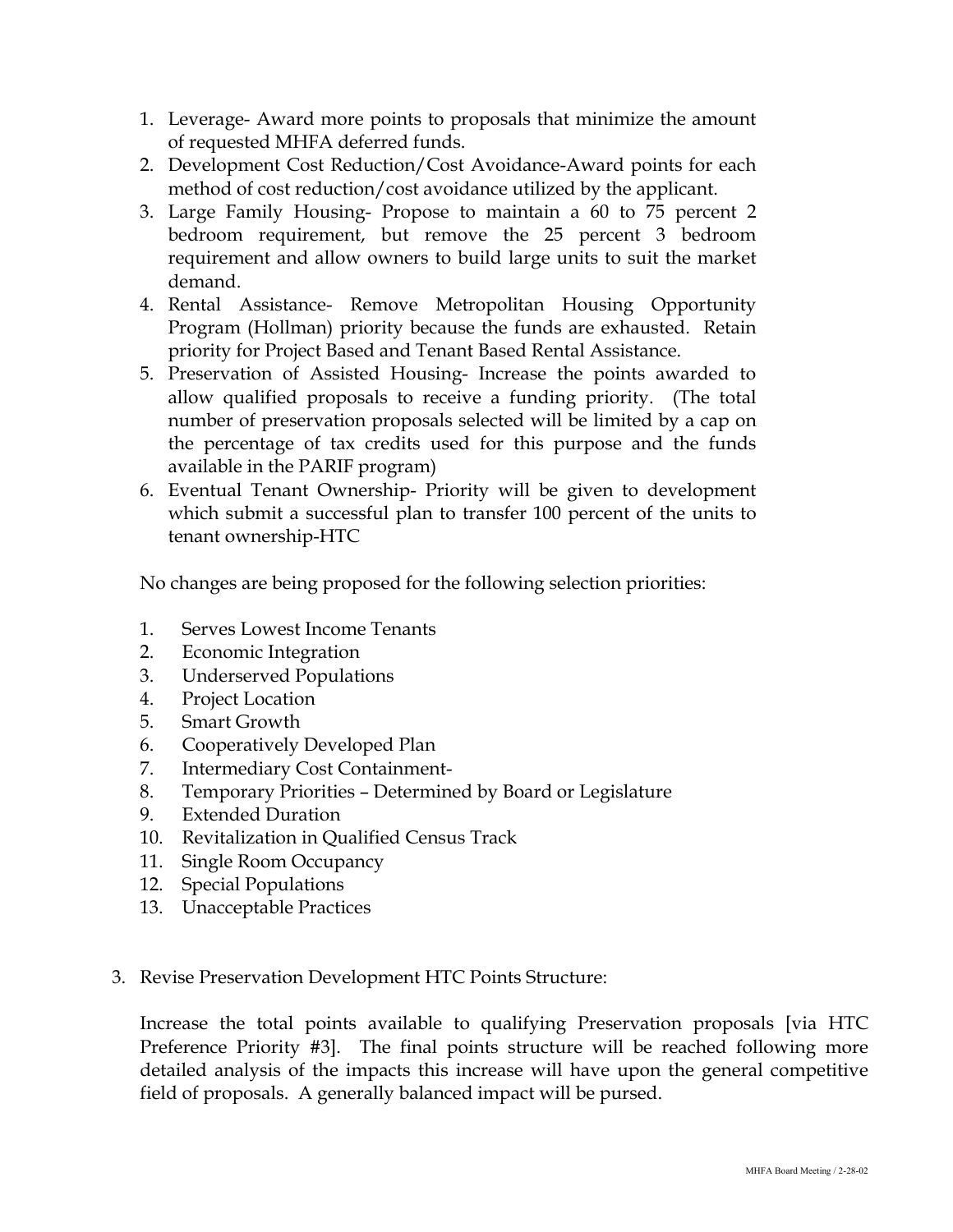- 1. Leverage- Award more points to proposals that minimize the amount of requested MHFA deferred funds.
- 2. Development Cost Reduction/Cost Avoidance-Award points for each method of cost reduction/cost avoidance utilized by the applicant.
- 3. Large Family Housing- Propose to maintain a 60 to 75 percent 2 bedroom requirement, but remove the 25 percent 3 bedroom requirement and allow owners to build large units to suit the market demand.
- 4. Rental Assistance- Remove Metropolitan Housing Opportunity Program (Hollman) priority because the funds are exhausted. Retain priority for Project Based and Tenant Based Rental Assistance.
- 5. Preservation of Assisted Housing- Increase the points awarded to allow qualified proposals to receive a funding priority. (The total number of preservation proposals selected will be limited by a cap on the percentage of tax credits used for this purpose and the funds available in the PARIF program)
- 6. Eventual Tenant Ownership- Priority will be given to development which submit a successful plan to transfer 100 percent of the units to tenant ownership-HTC

No changes are being proposed for the following selection priorities:

- 1. Serves Lowest Income Tenants
- 2. Economic Integration
- 3. Underserved Populations
- 4. Project Location
- 5. Smart Growth
- 6. Cooperatively Developed Plan
- 7. Intermediary Cost Containment-
- 8. Temporary Priorities Determined by Board or Legislature
- 9. Extended Duration
- 10. Revitalization in Qualified Census Track
- 11. Single Room Occupancy
- 12. Special Populations
- 13. Unacceptable Practices
- 3. Revise Preservation Development HTC Points Structure:

Increase the total points available to qualifying Preservation proposals [via HTC Preference Priority #3]. The final points structure will be reached following more detailed analysis of the impacts this increase will have upon the general competitive field of proposals. A generally balanced impact will be pursed.